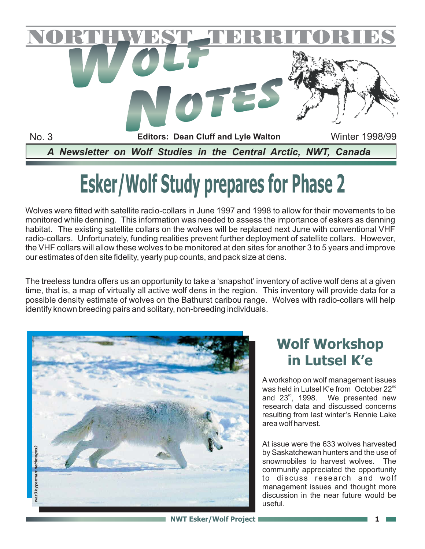

# **Esker/Wolf Study prepares for Phase 2**

Wolves were fitted with satellite radio-collars in June 1997 and 1998 to allow for their movements to be monitored while denning. This information was needed to assess the importance of eskers as denning habitat. The existing satellite collars on the wolves will be replaced next June with conventional VHF radio-collars. Unfortunately, funding realities prevent further deployment of satellite collars. However, the VHF collars will allow these wolves to be monitored at den sites for another 3 to 5 years and improve our estimates of den site fidelity, yearly pup counts, and pack size at dens.

The treeless tundra offers us an opportunity to take a 'snapshot' inventory of active wolf dens at a given time, that is, a map of virtually all active wolf dens in the region. This inventory will provide data for a possible density estimate of wolves on the Bathurst caribou range. Wolves with radio-collars will help identify known breeding pairs and solitary, non-breeding individuals.



#### **Wolf Workshop in Lutsel K'e**

A workshop on wolf management issues was held in Lutsel K'e from  $\rm~October~22^{\rm nd}$ and  $23^{\text{rd}}$ , 1998. We presented new research data and discussed concerns resulting from last winter's Rennie Lake area wolf harvest.

At issue were the 633 wolves harvested by Saskatchewan hunters and the use of snowmobiles to harvest wolves. The community appreciated the opportunity to discuss research and wolf management issues and thought more discussion in the near future would be useful.

**NWT Esker/Wolf Project 1 1**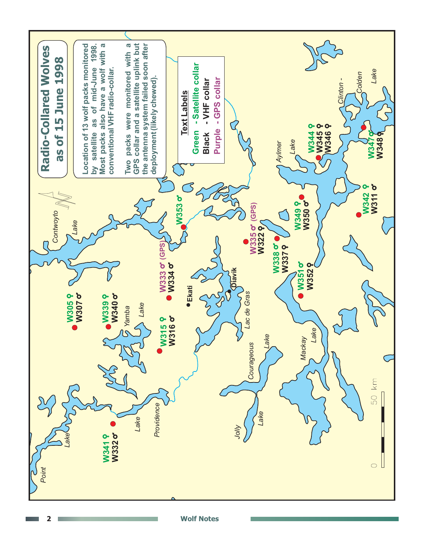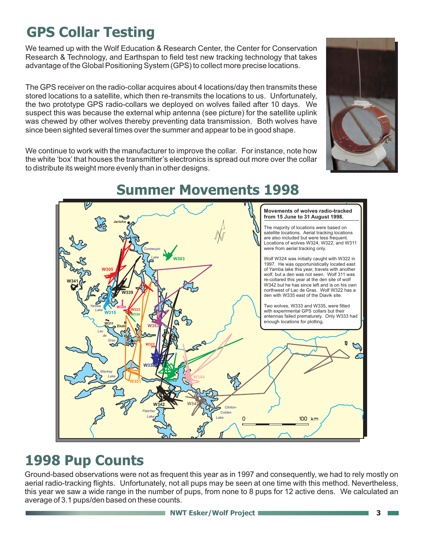## **GPS Collar Testing**

We teamed up with the Wolf Education & Research Center, the Center for Conservation Research & Technology, and Earthspan to field test new tracking technology that takes advantage of the Global Positioning System (GPS) to collect more precise locations.

The GPS receiver on the radio-collar acquires about 4 locations/day then transmits these stored locations to a satellite, which then re-transmits the locations to us. Unfortunately, the two prototype GPS radio-collars we deployed on wolves failed after 10 days. We suspect this was because the external whip antenna (see picture) for the satellite uplink was chewed by other wolves thereby preventing data transmission. Both wolves have since been sighted several times over the summer and appear to be in good shape.

We continue to work with the manufacturer to improve the collar. For instance, note how the white 'box' that houses the transmitter's electronics is spread out more over the collar to distribute its weight more evenly than in other designs.





#### **Summer Movements 1998**

#### **1998 Pup Counts**

Ground-based observations were not as frequent this year as in 1997 and consequently, we had to rely mostly on aerial radio-tracking flights. Unfortunately, not all pups may be seen at one time with this method. Nevertheless, this year we saw a wide range in the number of pups, from none to 8 pups for 12 active dens. We calculated an average of 3.1 pups/den based on these counts.